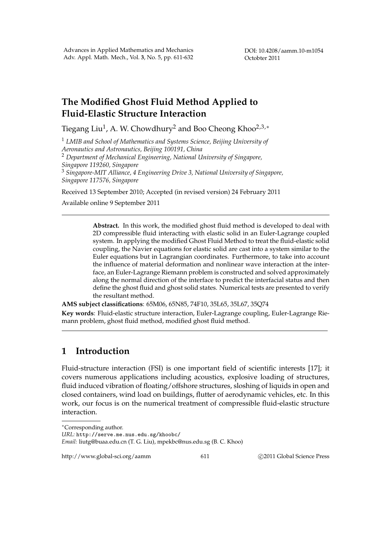# **The Modified Ghost Fluid Method Applied to Fluid-Elastic Structure Interaction**

Tiegang Liu<sup>1</sup> , A. W. Chowdhury<sup>2</sup> and Boo Cheong Khoo2,3,*<sup>∗</sup>*

<sup>1</sup> *LMIB and School of Mathematics and Systems Science, Beijing University of*

*Aeronautics and Astronautics, Beijing 100191, China*

<sup>2</sup> *Department of Mechanical Engineering, National University of Singapore, Singapore 119260, Singapore*

<sup>3</sup> *Singapore-MIT Alliance, 4 Engineering Drive 3, National University of Singapore, Singapore 117576, Singapore*

Received 13 September 2010; Accepted (in revised version) 24 February 2011 Available online 9 September 2011

> **Abstract.** In this work, the modified ghost fluid method is developed to deal with 2D compressible fluid interacting with elastic solid in an Euler-Lagrange coupled system. In applying the modified Ghost Fluid Method to treat the fluid-elastic solid coupling, the Navier equations for elastic solid are cast into a system similar to the Euler equations but in Lagrangian coordinates. Furthermore, to take into account the influence of material deformation and nonlinear wave interaction at the interface, an Euler-Lagrange Riemann problem is constructed and solved approximately along the normal direction of the interface to predict the interfacial status and then define the ghost fluid and ghost solid states. Numerical tests are presented to verify the resultant method.

**AMS subject classifications**: 65M06, 65N85, 74F10, 35L65, 35L67, 35Q74

**Key words**: Fluid-elastic structure interaction, Euler-Lagrange coupling, Euler-Lagrange Riemann problem, ghost fluid method, modified ghost fluid method.

# **1 Introduction**

Fluid-structure interaction (FSI) is one important field of scientific interests [17]; it covers numerous applications including acoustics, explosive loading of structures, fluid induced vibration of floating/offshore structures, sloshing of liquids in open and closed containers, wind load on buildings, flutter of aerodynamic vehicles, etc. In this work, our focus is on the numerical treatment of compressible fluid-elastic structure interaction.

http://www.global-sci.org/aamm 611 611 *C* 2011 Global Science Press

*<sup>∗</sup>*Corresponding author.

*URL:* http://serve.me.nus.edu.sg/khoobc/

*Email:* liutg@buaa.edu.cn (T. G. Liu), mpekbc@nus.edu.sg (B. C. Khoo)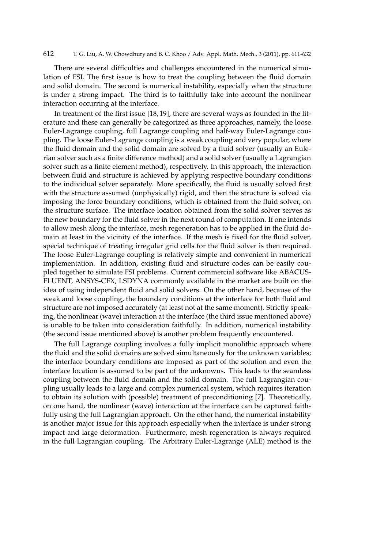There are several difficulties and challenges encountered in the numerical simulation of FSI. The first issue is how to treat the coupling between the fluid domain and solid domain. The second is numerical instability, especially when the structure is under a strong impact. The third is to faithfully take into account the nonlinear interaction occurring at the interface.

In treatment of the first issue [18, 19], there are several ways as founded in the literature and these can generally be categorized as three approaches, namely, the loose Euler-Lagrange coupling, full Lagrange coupling and half-way Euler-Lagrange coupling. The loose Euler-Lagrange coupling is a weak coupling and very popular, where the fluid domain and the solid domain are solved by a fluid solver (usually an Eulerian solver such as a finite difference method) and a solid solver (usually a Lagrangian solver such as a finite element method), respectively. In this approach, the interaction between fluid and structure is achieved by applying respective boundary conditions to the individual solver separately. More specifically, the fluid is usually solved first with the structure assumed (unphysically) rigid, and then the structure is solved via imposing the force boundary conditions, which is obtained from the fluid solver, on the structure surface. The interface location obtained from the solid solver serves as the new boundary for the fluid solver in the next round of computation. If one intends to allow mesh along the interface, mesh regeneration has to be applied in the fluid domain at least in the vicinity of the interface. If the mesh is fixed for the fluid solver, special technique of treating irregular grid cells for the fluid solver is then required. The loose Euler-Lagrange coupling is relatively simple and convenient in numerical implementation. In addition, existing fluid and structure codes can be easily coupled together to simulate FSI problems. Current commercial software like ABACUS-FLUENT, ANSYS-CFX, LSDYNA commonly available in the market are built on the idea of using independent fluid and solid solvers. On the other hand, because of the weak and loose coupling, the boundary conditions at the interface for both fluid and structure are not imposed accurately (at least not at the same moment). Strictly speaking, the nonlinear (wave) interaction at the interface (the third issue mentioned above) is unable to be taken into consideration faithfully. In addition, numerical instability (the second issue mentioned above) is another problem frequently encountered.

The full Lagrange coupling involves a fully implicit monolithic approach where the fluid and the solid domains are solved simultaneously for the unknown variables; the interface boundary conditions are imposed as part of the solution and even the interface location is assumed to be part of the unknowns. This leads to the seamless coupling between the fluid domain and the solid domain. The full Lagrangian coupling usually leads to a large and complex numerical system, which requires iteration to obtain its solution with (possible) treatment of preconditioning [7]. Theoretically, on one hand, the nonlinear (wave) interaction at the interface can be captured faithfully using the full Lagrangian approach. On the other hand, the numerical instability is another major issue for this approach especially when the interface is under strong impact and large deformation. Furthermore, mesh regeneration is always required in the full Lagrangian coupling. The Arbitrary Euler-Lagrange (ALE) method is the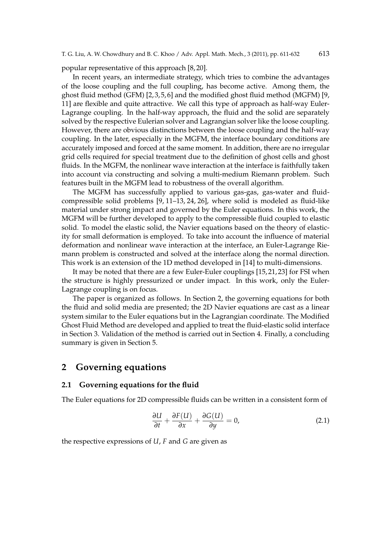popular representative of this approach [8, 20].

In recent years, an intermediate strategy, which tries to combine the advantages of the loose coupling and the full coupling, has become active. Among them, the ghost fluid method (GFM)  $[2,3,5,6]$  and the modified ghost fluid method (MGFM)  $[9, 6]$ 11] are flexible and quite attractive. We call this type of approach as half-way Euler-Lagrange coupling. In the half-way approach, the fluid and the solid are separately solved by the respective Eulerian solver and Lagrangian solver like the loose coupling. However, there are obvious distinctions between the loose coupling and the half-way coupling. In the later, especially in the MGFM, the interface boundary conditions are accurately imposed and forced at the same moment. In addition, there are no irregular grid cells required for special treatment due to the definition of ghost cells and ghost fluids. In the MGFM, the nonlinear wave interaction at the interface is faithfully taken into account via constructing and solving a multi-medium Riemann problem. Such features built in the MGFM lead to robustness of the overall algorithm.

The MGFM has successfully applied to various gas-gas, gas-water and fluidcompressible solid problems [9, 11–13, 24, 26], where solid is modeled as fluid-like material under strong impact and governed by the Euler equations. In this work, the MGFM will be further developed to apply to the compressible fluid coupled to elastic solid. To model the elastic solid, the Navier equations based on the theory of elasticity for small deformation is employed. To take into account the influence of material deformation and nonlinear wave interaction at the interface, an Euler-Lagrange Riemann problem is constructed and solved at the interface along the normal direction. This work is an extension of the 1D method developed in [14] to multi-dimensions.

It may be noted that there are a few Euler-Euler couplings [15, 21, 23] for FSI when the structure is highly pressurized or under impact. In this work, only the Euler-Lagrange coupling is on focus.

The paper is organized as follows. In Section 2, the governing equations for both the fluid and solid media are presented; the 2D Navier equations are cast as a linear system similar to the Euler equations but in the Lagrangian coordinate. The Modified Ghost Fluid Method are developed and applied to treat the fluid-elastic solid interface in Section 3. Validation of the method is carried out in Section 4. Finally, a concluding summary is given in Section 5.

### **2 Governing equations**

#### **2.1 Governing equations for the fluid**

The Euler equations for 2D compressible fluids can be written in a consistent form of

$$
\frac{\partial U}{\partial t} + \frac{\partial F(U)}{\partial x} + \frac{\partial G(U)}{\partial y} = 0, \tag{2.1}
$$

the respective expressions of *U*, *F* and *G* are given as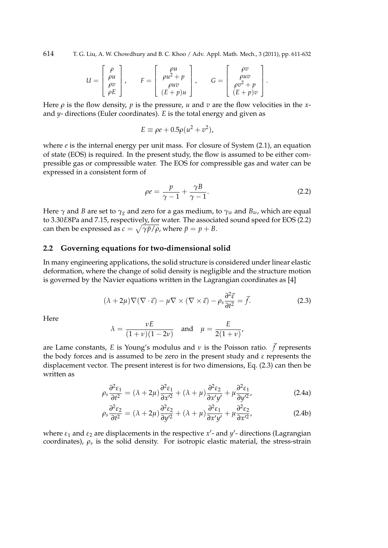$$
U = \begin{bmatrix} \rho \\ \rho u \\ \rho v \\ \rho E \end{bmatrix}, \qquad F = \begin{bmatrix} \rho u \\ \rho u^2 + p \\ \rho u v \\ (E + p) u \end{bmatrix}, \qquad G = \begin{bmatrix} \rho v \\ \rho u v \\ \rho v^2 + p \\ (E + p) v \end{bmatrix}
$$

Here  $\rho$  is the flow density,  $p$  is the pressure,  $u$  and  $v$  are the flow velocities in the  $x$ and *y*- directions (Euler coordinates). *E* is the total energy and given as

$$
E \equiv \rho e + 0.5\rho (u^2 + v^2),
$$

where *e* is the internal energy per unit mass. For closure of System (2.1), an equation of state (EOS) is required. In the present study, the flow is assumed to be either compressible gas or compressible water. The EOS for compressible gas and water can be expressed in a consistent form of

$$
\rho e = \frac{p}{\gamma - 1} + \frac{\gamma B}{\gamma - 1}.
$$
\n(2.2)

.

Here  $\gamma$  and *B* are set to  $\gamma_g$  and zero for a gas medium, to  $\gamma_w$  and  $B_w$ , which are equal to 3.30*E*8Pa and 7.15, respectively, for water. The associated sound speed for EOS (2.2) can then be expressed as  $c = \sqrt{\gamma \bar{p}/\rho}$ , where  $\bar{p} = p + B$ .

#### **2.2 Governing equations for two-dimensional solid**

In many engineering applications, the solid structure is considered under linear elastic deformation, where the change of solid density is negligible and the structure motion is governed by the Navier equations written in the Lagrangian coordinates as [4]

$$
(\lambda + 2\mu)\nabla(\nabla \cdot \vec{\varepsilon}) - \mu \nabla \times (\nabla \times \vec{\varepsilon}) - \rho_s \frac{\partial^2 \vec{\varepsilon}}{\partial t^2} = \vec{f}.
$$
 (2.3)

Here

$$
\lambda = \frac{\nu E}{(1+\nu)(1-2\nu)} \quad \text{and} \quad \mu = \frac{E}{2(1+\nu)},
$$

are Lame constants, *E* is Young's modulus and *ν* is the Poisson ratio.  $\vec{f}$  represents the body forces and is assumed to be zero in the present study and *ε* represents the displacement vector. The present interest is for two dimensions, Eq. (2.3) can then be written as

$$
\rho_s \frac{\partial^2 \varepsilon_1}{\partial t^2} = (\lambda + 2\mu) \frac{\partial^2 \varepsilon_1}{\partial x'^2} + (\lambda + \mu) \frac{\partial^2 \varepsilon_2}{\partial x' y'} + \mu \frac{\partial^2 \varepsilon_1}{\partial y'^2},
$$
(2.4a)

$$
\rho_s \frac{\partial^2 \varepsilon_2}{\partial t^2} = (\lambda + 2\mu) \frac{\partial^2 \varepsilon_2}{\partial y'^2} + (\lambda + \mu) \frac{\partial^2 \varepsilon_1}{\partial x' y'} + \mu \frac{\partial^2 \varepsilon_2}{\partial x'^2},
$$
(2.4b)

where *ε*<sup>1</sup> and *ε*<sup>2</sup> are displacements in the respective *x ′* - and *y ′* - directions (Lagrangian coordinates),  $\rho_s$  is the solid density. For isotropic elastic material, the stress-strain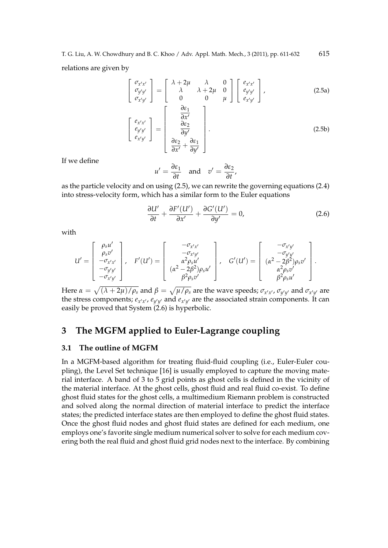relations are given by

$$
\begin{bmatrix}\n\sigma_{x'x'} \\
\sigma_{y'y'} \\
\sigma_{x'y'}\n\end{bmatrix} = \begin{bmatrix}\n\lambda + 2\mu & \lambda & 0 \\
\lambda & \lambda + 2\mu & 0 \\
0 & 0 & \mu\n\end{bmatrix} \begin{bmatrix}\ne_{x'x'} \\
e_{y'y'} \\
e_{x'y'}\n\end{bmatrix},
$$
\n(2.5a)

$$
\begin{bmatrix} e_{x'x'} \\ e_{y'y'} \\ e_{x'y'} \end{bmatrix} = \begin{bmatrix} \frac{\partial \varepsilon_1}{\partial x'} \\ \frac{\partial \varepsilon_2}{\partial y'} \\ \frac{\partial \varepsilon_2}{\partial x'} + \frac{\partial \varepsilon_1}{\partial y'} \end{bmatrix}.
$$
 (2.5b)

If we define

$$
u' = \frac{\partial \varepsilon_1}{\partial t} \quad \text{and} \quad v' = \frac{\partial \varepsilon_2}{\partial t},
$$

as the particle velocity and on using (2.5), we can rewrite the governing equations (2.4) into stress-velocity form, which has a similar form to the Euler equations

$$
\frac{\partial U'}{\partial t} + \frac{\partial F'(U')}{\partial x'} + \frac{\partial G'(U')}{\partial y'} = 0,
$$
\n(2.6)

with

$$
U' = \begin{bmatrix} \rho_s u' \\ \rho_s v' \\ -\sigma_{x'x'} \\ -\sigma_{y'y'} \\ -\sigma_{x'y'} \end{bmatrix}, \quad F'(U') = \begin{bmatrix} -\sigma_{x'x'} \\ -\sigma_{x'y'} \\ \alpha^2 \rho_s u' \\ (\alpha^2 - 2\beta^2)\rho_s u' \end{bmatrix}, \quad G'(U') = \begin{bmatrix} -\sigma_{x'y'} \\ -\sigma_{y'y'} \\ (\alpha^2 - 2\beta^2)\rho_s v' \\ \alpha^2 \rho_s v' \end{bmatrix}.
$$

Here  $\alpha=\sqrt{(\lambda+2\mu)/\rho_s}$  and  $\beta=\sqrt{\mu/\rho_s}$  are the wave speeds;  $\sigma_{x'x'}$ ,  $\sigma_{y'y'}$  and  $\sigma_{x'y'}$  are the stress components;  $e_{x'x'}$ ,  $e_{y'y'}$  and  $e_{x'y'}$  are the associated strain components. It can easily be proved that System (2.6) is hyperbolic.

# **3 The MGFM applied to Euler-Lagrange coupling**

#### **3.1 The outline of MGFM**

In a MGFM-based algorithm for treating fluid-fluid coupling (i.e., Euler-Euler coupling), the Level Set technique [16] is usually employed to capture the moving material interface. A band of 3 to 5 grid points as ghost cells is defined in the vicinity of the material interface. At the ghost cells, ghost fluid and real fluid co-exist. To define ghost fluid states for the ghost cells, a multimedium Riemann problem is constructed and solved along the normal direction of material interface to predict the interface states; the predicted interface states are then employed to define the ghost fluid states. Once the ghost fluid nodes and ghost fluid states are defined for each medium, one employs one's favorite single medium numerical solver to solve for each medium covering both the real fluid and ghost fluid grid nodes next to the interface. By combining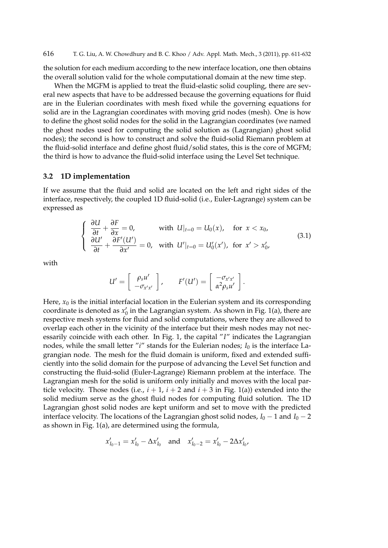the solution for each medium according to the new interface location, one then obtains the overall solution valid for the whole computational domain at the new time step.

When the MGFM is applied to treat the fluid-elastic solid coupling, there are several new aspects that have to be addressed because the governing equations for fluid are in the Eulerian coordinates with mesh fixed while the governing equations for solid are in the Lagrangian coordinates with moving grid nodes (mesh). One is how to define the ghost solid nodes for the solid in the Lagrangian coordinates (we named the ghost nodes used for computing the solid solution as (Lagrangian) ghost solid nodes); the second is how to construct and solve the fluid-solid Riemann problem at the fluid-solid interface and define ghost fluid/solid states, this is the core of MGFM; the third is how to advance the fluid-solid interface using the Level Set technique.

#### **3.2 1D implementation**

If we assume that the fluid and solid are located on the left and right sides of the interface, respectively, the coupled 1D fluid-solid (i.e., Euler-Lagrange) system can be expressed as

$$
\begin{cases}\n\frac{\partial U}{\partial t} + \frac{\partial F}{\partial x} = 0, & \text{with } U|_{t=0} = U_0(x), \quad \text{for } x < x_0, \\
\frac{\partial U'}{\partial t} + \frac{\partial F'(U')}{\partial x'} = 0, & \text{with } U'|_{t=0} = U'_0(x'), \quad \text{for } x' > x'_0,\n\end{cases} \tag{3.1}
$$

with

$$
U'=\left[\begin{array}{c} \rho_s u' \\ -\sigma_{x'x'} \end{array}\right],\qquad F'(U')=\left[\begin{array}{c} -\sigma_{x'x'} \\ \alpha^2 \rho_s u' \end{array}\right].
$$

Here,  $x_0$  is the initial interfacial location in the Eulerian system and its corresponding coordinate is denoted as  $x'_0$  in the Lagrangian system. As shown in Fig. 1(a), there are respective mesh systems for fluid and solid computations, where they are allowed to overlap each other in the vicinity of the interface but their mesh nodes may not necessarily coincide with each other. In Fig. 1, the capital "*I*" indicates the Lagrangian nodes, while the small letter "*i*" stands for the Eulerian nodes; *I*<sup>0</sup> is the interface Lagrangian node. The mesh for the fluid domain is uniform, fixed and extended sufficiently into the solid domain for the purpose of advancing the Level Set function and constructing the fluid-solid (Euler-Lagrange) Riemann problem at the interface. The Lagrangian mesh for the solid is uniform only initially and moves with the local particle velocity. Those nodes (i.e.,  $i + 1$ ,  $i + 2$  and  $i + 3$  in Fig. 1(a)) extended into the solid medium serve as the ghost fluid nodes for computing fluid solution. The 1D Lagrangian ghost solid nodes are kept uniform and set to move with the predicted interface velocity. The locations of the Lagrangian ghost solid nodes,  $I_0 - 1$  and  $I_0 - 2$ as shown in Fig. 1(a), are determined using the formula,

$$
x'_{I_0-1} = x'_{I_0} - \Delta x'_{I_0}
$$
 and  $x'_{I_0-2} = x'_{I_0} - 2\Delta x'_{I_0}$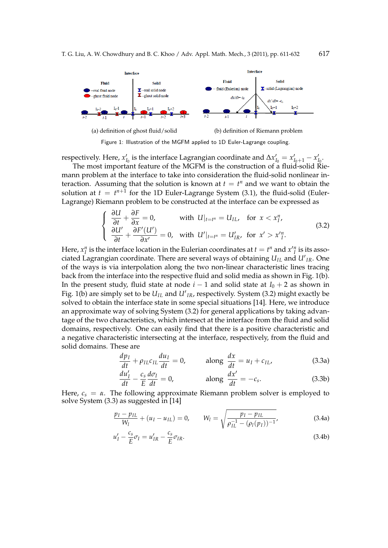

Figure 1: Illustration of the MGFM applied to 1D Euler-Lagrange coupling.

respectively. Here,  $x'_{I_0}$  is the interface Lagrangian coordinate and  $\Delta x'_{I_0} = x'_{I_0+1} - x'_{I_0}$ . The most important feature of the MGFM is the construction of a fluid-solid Rie-

mann problem at the interface to take into consideration the fluid-solid nonlinear interaction. Assuming that the solution is known at  $t = t^n$  and we want to obtain the solution at  $t = t^{n+1}$  for the 1D Euler-Lagrange System (3.1), the fluid-solid (Euler-Lagrange) Riemann problem to be constructed at the interface can be expressed as

$$
\begin{cases}\n\frac{\partial U}{\partial t} + \frac{\partial F}{\partial x} = 0, & \text{with } U|_{t=t^n} = U_{IL}, & \text{for } x < x_I^n, \\
\frac{\partial U'}{\partial t} + \frac{\partial F'(U')}{\partial x'} = 0, & \text{with } U'|_{t=t^n} = U_{IR}', & \text{for } x' > x_I^n.\n\end{cases} \tag{3.2}
$$

Here,  $x_l^n$  is the interface location in the Eulerian coordinates at  $t = t^n$  and  $x_l^n$  is its associated Lagrangian coordinate. There are several ways of obtaining  $U_{IL}$  and  $U'_{IR}$ . One of the ways is via interpolation along the two non-linear characteristic lines tracing back from the interface into the respective fluid and solid media as shown in Fig. 1(b). In the present study, fluid state at node *i −* 1 and solid state at *I*<sup>0</sup> + 2 as shown in Fig. 1(b) are simply set to be  $U_{IL}$  and  $U'_{IR}$ , respectively. System (3.2) might exactly be solved to obtain the interface state in some special situations [14]. Here, we introduce an approximate way of solving System (3.2) for general applications by taking advantage of the two characteristics, which intersect at the interface from the fluid and solid domains, respectively. One can easily find that there is a positive characteristic and a negative characteristic intersecting at the interface, respectively, from the fluid and solid domains. These are

$$
\frac{dp_I}{dt} + \rho_{IL}c_{IL}\frac{du_I}{dt} = 0, \qquad \text{along } \frac{dx}{dt} = u_I + c_{IL}, \qquad (3.3a)
$$

$$
\frac{du'_I}{dt} - \frac{c_s}{E}\frac{d\sigma_I}{dt} = 0, \qquad \text{along } \frac{dx'}{dt} = -c_s. \tag{3.3b}
$$

Here,  $c_s = \alpha$ . The following approximate Riemann problem solver is employed to solve System (3.3) as suggested in [14]

$$
\frac{p_I - p_{IL}}{W_l} + (u_I - u_{IL}) = 0, \qquad W_l = \sqrt{\frac{p_I - p_{IL}}{\rho_{IL}^{-1} - (\rho_l(p_I))^{-1}}},
$$
(3.4a)

$$
u'_I - \frac{c_s}{E}\sigma_I = u'_{IR} - \frac{c_s}{E}\sigma_{IR}.\tag{3.4b}
$$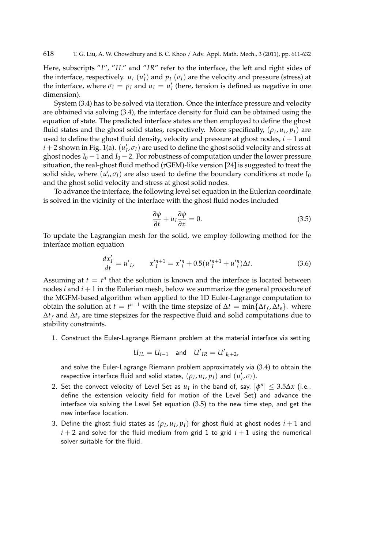Here, subscripts "*I*", "*IL*" and "*IR*" refer to the interface, the left and right sides of the interface, respectively.  $u_I(u_I')$  and  $p_I(\sigma_I)$  are the velocity and pressure (stress) at the interface, where  $\sigma_I = p_I$  and  $u_I = u_I'$  (here, tension is defined as negative in one dimension).

System (3.4) has to be solved via iteration. Once the interface pressure and velocity are obtained via solving (3.4), the interface density for fluid can be obtained using the equation of state. The predicted interface states are then employed to define the ghost fluid states and the ghost solid states, respectively. More specifically,  $(\rho_I, u_I, p_I)$  are used to define the ghost fluid density, velocity and pressure at ghost nodes,  $i + 1$  and  $i + 2$  shown in Fig. 1(a).  $(u'_{I}, \sigma_{I})$  are used to define the ghost solid velocity and stress at ghost nodes *I*<sup>0</sup> *−* 1 and *I*<sup>0</sup> *−* 2. For robustness of computation under the lower pressure situation, the real-ghost fluid method (rGFM)-like version [24] is suggested to treat the solid side, where  $(u'_I, \sigma_I)$  are also used to define the boundary conditions at node  $I_0$ and the ghost solid velocity and stress at ghost solid nodes.

To advance the interface, the following level set equation in the Eulerian coordinate is solved in the vicinity of the interface with the ghost fluid nodes included

$$
\frac{\partial \phi}{\partial t} + u_I \frac{\partial \phi}{\partial x} = 0.
$$
\n(3.5)

To update the Lagrangian mesh for the solid, we employ following method for the interface motion equation

$$
\frac{dx'_I}{dt} = u'_I, \qquad x'^{n+1}_I = x'^n_I + 0.5(u'^{n+1}_I + u'^n_I)\Delta t. \tag{3.6}
$$

Assuming at  $t = t^n$  that the solution is known and the interface is located between nodes *i* and *i* + 1 in the Eulerian mesh, below we summarize the general procedure of the MGFM-based algorithm when applied to the 1D Euler-Lagrange computation to obtain the solution at  $t = t^{n+1}$  with the time stepsize of  $\Delta t = \min\{\Delta t_f, \Delta t_s\}$ . where  $\Delta t_f$  and  $\Delta t_s$  are time stepsizes for the respective fluid and solid computations due to stability constraints.

1. Construct the Euler-Lagrange Riemann problem at the material interface via setting

$$
U_{IL} = U_{i-1} \quad \text{and} \quad U'_{IR} = U'_{I_0+2},
$$

and solve the Euler-Lagrange Riemann problem approximately via (3.4) to obtain the  $r$  respective interface fluid and solid states,  $(\rho_I, u_I, p_I)$  and  $(u'_I, \sigma_I)$ .

- 2. Set the convect velocity of Level Set as  $u_I$  in the band of, say,  $|\phi^n| \leq 3.5 \Delta x$  (i.e., define the extension velocity field for motion of the Level Set) and advance the interface via solving the Level Set equation (3.5) to the new time step, and get the new interface location.
- 3. Define the ghost fluid states as  $(\rho_I, u_I, p_I)$  for ghost fluid at ghost nodes  $i+1$  and  $i + 2$  and solve for the fluid medium from grid 1 to grid  $i + 1$  using the numerical solver suitable for the fluid.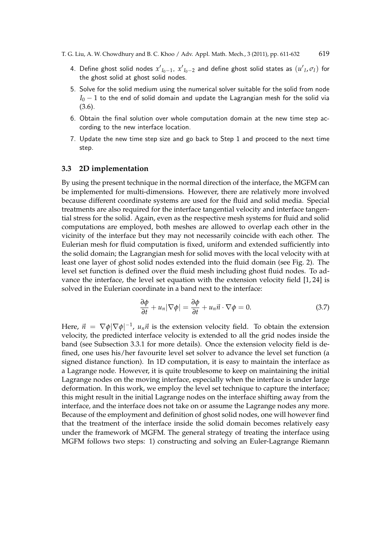- 4. Define ghost solid nodes  $x'_{I_0-1}$ ,  $x'_{I_0-2}$  and define ghost solid states as  $(u'_{I}, \sigma_I)$  for the ghost solid at ghost solid nodes.
- 5. Solve for the solid medium using the numerical solver suitable for the solid from node *I*<sub>0</sub> − 1 to the end of solid domain and update the Lagrangian mesh for the solid via (3.6).
- 6. Obtain the final solution over whole computation domain at the new time step according to the new interface location.
- 7. Update the new time step size and go back to Step 1 and proceed to the next time step.

#### **3.3 2D implementation**

By using the present technique in the normal direction of the interface, the MGFM can be implemented for multi-dimensions. However, there are relatively more involved because different coordinate systems are used for the fluid and solid media. Special treatments are also required for the interface tangential velocity and interface tangential stress for the solid. Again, even as the respective mesh systems for fluid and solid computations are employed, both meshes are allowed to overlap each other in the vicinity of the interface but they may not necessarily coincide with each other. The Eulerian mesh for fluid computation is fixed, uniform and extended sufficiently into the solid domain; the Lagrangian mesh for solid moves with the local velocity with at least one layer of ghost solid nodes extended into the fluid domain (see Fig. 2). The level set function is defined over the fluid mesh including ghost fluid nodes. To advance the interface, the level set equation with the extension velocity field [1, 24] is solved in the Eulerian coordinate in a band next to the interface:

$$
\frac{\partial \phi}{\partial t} + u_n |\nabla \phi| = \frac{\partial \phi}{\partial t} + u_n \vec{n} \cdot \nabla \phi = 0.
$$
 (3.7)

Here,  $\vec{n}~=~\nabla \phi |\nabla \phi |^{-1}$ ,  $u_n \vec{n}$  is the extension velocity field. To obtain the extension velocity, the predicted interface velocity is extended to all the grid nodes inside the band (see Subsection 3.3.1 for more details). Once the extension velocity field is defined, one uses his/her favourite level set solver to advance the level set function (a signed distance function). In 1D computation, it is easy to maintain the interface as a Lagrange node. However, it is quite troublesome to keep on maintaining the initial Lagrange nodes on the moving interface, especially when the interface is under large deformation. In this work, we employ the level set technique to capture the interface; this might result in the initial Lagrange nodes on the interface shifting away from the interface, and the interface does not take on or assume the Lagrange nodes any more. Because of the employment and definition of ghost solid nodes, one will however find that the treatment of the interface inside the solid domain becomes relatively easy under the framework of MGFM. The general strategy of treating the interface using MGFM follows two steps: 1) constructing and solving an Euler-Lagrange Riemann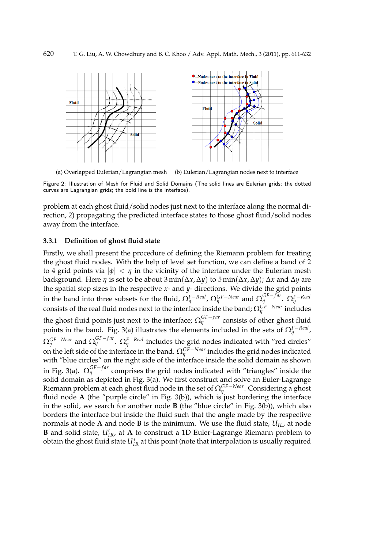

(a) Overlapped Eulerian/Lagrangian mesh (b) Eulerian/Lagrangian nodes next to interface

Figure 2: Illustration of Mesh for Fluid and Solid Domains (The solid lines are Eulerian grids; the dotted curves are Lagrangian grids; the bold line is the interface).

problem at each ghost fluid/solid nodes just next to the interface along the normal direction, 2) propagating the predicted interface states to those ghost fluid/solid nodes away from the interface.

#### **3.3.1 Definition of ghost fluid state**

Firstly, we shall present the procedure of defining the Riemann problem for treating the ghost fluid nodes. With the help of level set function, we can define a band of 2 to 4 grid points via  $|\phi| < \eta$  in the vicinity of the interface under the Eulerian mesh background. Here *η* is set to be about 3 min(∆*x*, ∆*y*) to 5 min(∆*x*, ∆*y*); ∆*x* and ∆*y* are the spatial step sizes in the respective *x*- and *y*- directions. We divide the grid points in the band into three subsets for the fluid,  $\Omega_\eta^{F-Real}$ ,  $\Omega_\eta^{GF-Near}$  and  $\Omega_\eta^{GF-far}$ .  $\Omega_\eta^{F-Real}$ consists of the real fluid nodes next to the interface inside the band; Ω*GF−Near η* includes the ghost fluid points just next to the interface;  $\Omega_{\eta}^{GF-far}$  consists of other ghost fluid points in the band. Fig. 3(a) illustrates the elements included in the sets of Ω*F−Real η* ,  $\Omega_\eta^{GF-Near}$  and  $\Omega_\eta^{GF-far}.$   $\Omega_\eta^{F-Real}$  includes the grid nodes indicated with "red circles" on the left side of the interface in the band. Ω*GF−Near* includes the grid nodes indicated *η* with "blue circles" on the right side of the interface inside the solid domain as shown in Fig. 3(a). Ω<sup>GF−*far*</sup> comprises the grid nodes indicated with "triangles" inside the solid domain as depicted in Fig. 3(a). We first construct and solve an Euler-Lagrange Riemann problem at each ghost fluid node in the set of Ω*GF−Near η* . Considering a ghost fluid node **A** (the "purple circle" in Fig. 3(b)), which is just bordering the interface in the solid, we search for another node **B** (the "blue circle" in Fig. 3(b)), which also borders the interface but inside the fluid such that the angle made by the respective normals at node **A** and node **B** is the minimum. We use the fluid state, *UIL*, at node **B** and solid state,  $U'_{IR}$ , at **A** to construct a 1D Euler-Lagrange Riemann problem to obtain the ghost fluid state  $U^*_{IR}$  at this point (note that interpolation is usually required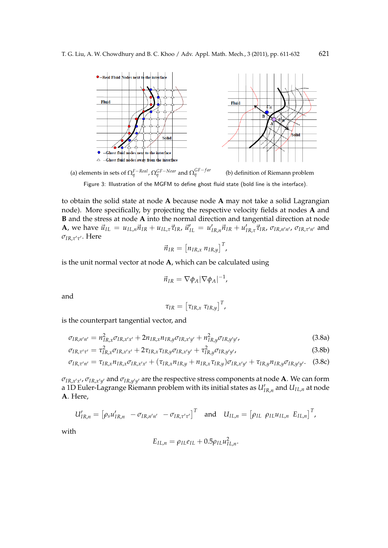

(a) elements in sets of  $\Omega_\eta^{F-Real}$  ,  $\Omega_\eta^{GF-Near}$  and  $\Omega_\eta^{GF-far}$ *η* (b) definition of Riemann problem Figure 3: Illustration of the MGFM to define ghost fluid state (bold line is the interface).

to obtain the solid state at node **A** because node **A** may not take a solid Lagrangian node). More specifically, by projecting the respective velocity fields at nodes **A** and **B** and the stress at node **A** into the normal direction and tangential direction at node **A**, we have  $\vec{u}_{IL} = u_{IL,n} \vec{n}_{IR} + u_{IL,\tau} \vec{\tau}_{IR}$ ,  $\vec{u}'_{IL} = u'_{IR,n} \vec{n}_{IR} + u'_{IR,\tau} \vec{\tau}_{IR}$ ,  $\sigma_{IR,n'n'}$ ,  $\sigma_{IR,\tau'n'}$  and  $\sigma_{IR,\tau'\tau'}$ . Here

$$
\vec{n}_{IR} = \left[n_{IR,x} n_{IR,y}\right]^T,
$$

is the unit normal vector at node **A**, which can be calculated using

$$
\vec{n}_{IR} = \nabla \phi_A |\nabla \phi_A|^{-1},
$$

and

$$
\tau_{IR} = \left[\tau_{IR,x} \tau_{IR,y}\right]^T,
$$

is the counterpart tangential vector, and

$$
\sigma_{IR,n'n'} = n_{IR,x}^2 \sigma_{IR,x'x'} + 2n_{IR,x} n_{IR,y} \sigma_{IR,x'y'} + n_{IR,y}^2 \sigma_{IR,y'y'}
$$
\n(3.8a)

$$
\sigma_{IR,\tau'\tau'} = \tau_{IR,x}^2 \sigma_{IR,x'\chi'} + 2\tau_{IR,x}\tau_{IR,y}\sigma_{IR,x'y'} + \tau_{IR,y}^2 \sigma_{IR,y'y'}
$$
\n(3.8b)

$$
\sigma_{IR,\tau'n'} = \tau_{IR,x} n_{IR,x} \sigma_{IR,x'x'} + (\tau_{IR,x} n_{IR,y} + n_{IR,x} \tau_{IR,y}) \sigma_{IR,x'y'} + \tau_{IR,y} n_{IR,y} \sigma_{IR,y'y'}.
$$
 (3.8c)

 $\sigma_{IR,x'x'}$  ,  $\sigma_{IR,x'y'}$  and  $\sigma_{IR,y'y'}$  are the respective stress components at node **A**. We can form a 1D Euler-Lagrange Riemann problem with its initial states as  $U'_{IR,n}$  and  $U_{IL,n}$  at node **A**. Here,

$$
U'_{IR,n} = \begin{bmatrix} \rho_s u'_{IR,n} & -\sigma_{IR,n'n'} & -\sigma_{IR,\tau'\tau'} \end{bmatrix}^T \text{ and } U_{IL,n} = \begin{bmatrix} \rho_{IL} & \rho_{IL} u_{IL,n} & E_{IL,n} \end{bmatrix}^T,
$$

with

$$
E_{IL,n} = \rho_{IL}e_{IL} + 0.5\rho_{IL}u_{IL,n}^2.
$$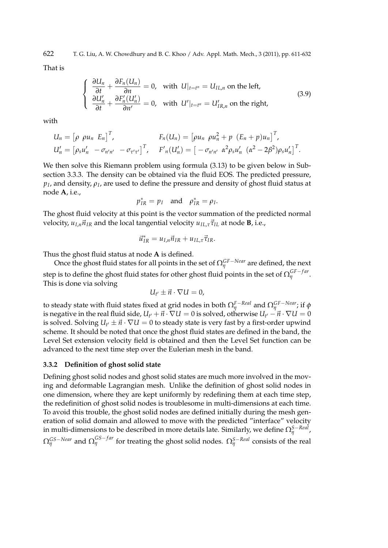That is

$$
\begin{cases}\n\frac{\partial U_n}{\partial t} + \frac{\partial F_n(U_n)}{\partial n} = 0, & \text{with } U|_{t=t^n} = U_{IL,n} \text{ on the left,} \\
\frac{\partial U'_n}{\partial t} + \frac{\partial F'_n(U'_n)}{\partial n'} = 0, & \text{with } U'|_{t=t^n} = U'_{IR,n} \text{ on the right,} \n\end{cases}
$$
\n(3.9)

with

$$
U_n = [\rho \ \rho u_n \ E_n]^T, \qquad F_n(U_n) = [\rho u_n \ \rho u_n^2 + p \ (E_n + p) u_n]^T, U'_n = [\rho_s u'_n - \sigma_{n'n'} - \sigma_{\tau'\tau'}]^T, \qquad F'_n(U'_n) = [-\sigma_{n'n'} \ \alpha^2 \rho_s u'_n \ (\alpha^2 - 2\beta^2) \rho_s u'_n]^T.
$$

We then solve this Riemann problem using formula (3.13) to be given below in Subsection 3.3.3. The density can be obtained via the fluid EOS. The predicted pressure,  $p_I$ , and density,  $\rho_I$ , are used to define the pressure and density of ghost fluid status at node **A**, i.e.,

$$
p_{IR}^* = p_I \quad \text{and} \quad \rho_{IR}^* = \rho_I.
$$

The ghost fluid velocity at this point is the vector summation of the predicted normal velocity,  $u_{I,n}$  $\vec{n}_{IR}$  and the local tangential velocity  $u_{IL,\tau}\vec{\tau}_{IL}$  at node **B**, i.e.,

$$
\vec{u}_{IR}^* = u_{I,n} \vec{n}_{IR} + u_{IL,\tau} \vec{\tau}_{IR}.
$$

Thus the ghost fluid status at node **A** is defined.

Once the ghost fluid states for all points in the set of Ω*GF−Near <sup>η</sup>* are defined, the next step is to define the ghost fluid states for other ghost fluid points in the set of  $\Omega_\eta^{GF-far}.$ This is done via solving

$$
U_{t'}\pm \vec{n}\cdot\nabla U=0,
$$

to steady state with fluid states fixed at grid nodes in both Ω*F−Real <sup>η</sup>* and Ω*GF−Near η* ; if *ϕ* is negative in the real fluid side,  $U_{t'} + \vec{n} \cdot \nabla U = 0$  is solved, otherwise  $U_{t'} - \vec{n} \cdot \nabla U = 0$ is solved. Solving  $U_{t'} \pm \vec{n} \cdot \nabla U = 0$  to steady state is very fast by a first-order upwind scheme. It should be noted that once the ghost fluid states are defined in the band, the Level Set extension velocity field is obtained and then the Level Set function can be advanced to the next time step over the Eulerian mesh in the band.

#### **3.3.2 Definition of ghost solid state**

Defining ghost solid nodes and ghost solid states are much more involved in the moving and deformable Lagrangian mesh. Unlike the definition of ghost solid nodes in one dimension, where they are kept uniformly by redefining them at each time step, the redefinition of ghost solid nodes is troublesome in multi-dimensions at each time. To avoid this trouble, the ghost solid nodes are defined initially during the mesh generation of solid domain and allowed to move with the predicted "interface" velocity in multi-dimensions to be described in more details late. Similarly, we define Ω*S−Real η* ,  $Ω_η^{GS-Near}$  and  $Ω_η^{GS-far}$  for treating the ghost solid nodes.  $Ω_η^{S-Rear}$  consists of the real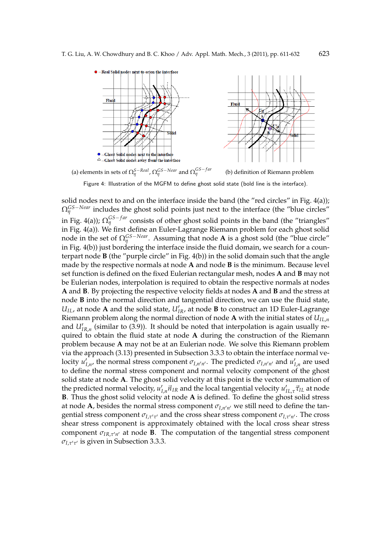

(a) elements in sets of  $\Omega_{\eta}^{S-Real}$ ,  $\Omega_{\eta}^{GS-Near}$  and  $\Omega_{\eta}^{GS-far}$ *η* (b) definition of Riemann problem Figure 4: Illustration of the MGFM to define ghost solid state (bold line is the interface).

solid nodes next to and on the interface inside the band (the "red circles" in Fig.  $4(a)$ );  $\Omega_\eta^{GS-Near}$  includes the ghost solid points just next to the interface (the "blue circles" in Fig. 4(a)); Ω $^{GS-far}_{\eta}$  consists of other ghost solid points in the band (the "triangles" in Fig. 4(a)). We first define an Euler-Lagrange Riemann problem for each ghost solid node in the set of Ω*GS−Near η* . Assuming that node **A** is a ghost sold (the "blue circle" in Fig. 4(b)) just bordering the interface inside the fluid domain, we search for a counterpart node **B** (the "purple circle" in Fig. 4(b)) in the solid domain such that the angle made by the respective normals at node **A** and node **B** is the minimum. Because level set function is defined on the fixed Eulerian rectangular mesh, nodes **A** and **B** may not be Eulerian nodes, interpolation is required to obtain the respective normals at nodes **A** and **B**. By projecting the respective velocity fields at nodes **A** and **B** and the stress at node **B** into the normal direction and tangential direction, we can use the fluid state, *U*<sub>*IL*</sub>, at node **A** and the solid state, *U*<sup>*'*</sup><sub>*IR*</sub>, at node **B** to construct an 1D Euler-Lagrange Riemann problem along the normal direction of node **A** with the initial states of *UIL*,*<sup>n</sup>* and  $U'_{IR,n}$  (similar to (3.9)). It should be noted that interpolation is again usually required to obtain the fluid state at node **A** during the construction of the Riemann problem because **A** may not be at an Eulerian node. We solve this Riemann problem via the approach (3.13) presented in Subsection 3.3.3 to obtain the interface normal velocity  $u'_{I,n}$ , the normal stress component  $\sigma_{I,n'n'}$ . The predicted  $\sigma_{I,n'n'}$  and  $u'_{I,n}$  are used to define the normal stress component and normal velocity component of the ghost solid state at node **A**. The ghost solid velocity at this point is the vector summation of the predicted normal velocity,  $u'_{I,n}$   $\vec{n}_{IR}$  and the local tangential velocity  $u'_{IL,\tau}$   $\vec{\tau}_{IL}$  at node **B**. Thus the ghost solid velocity at node **A** is defined. To define the ghost solid stress at node **A**, besides the normal stress component  $\sigma_{I,n'n'}$  we still need to define the tangential stress component  $\sigma_{I,\tau'\tau'}$  and the cross shear stress component  $\sigma_{I,\tau'n'}$ . The cross shear stress component is approximately obtained with the local cross shear stress component *σIR*,*<sup>τ</sup> ′n ′* at node **B**. The computation of the tangential stress component *σI*,*<sup>τ</sup> ′τ ′* is given in Subsection 3.3.3.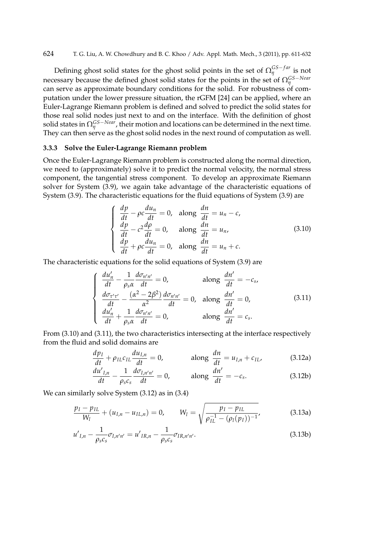Defining ghost solid states for the ghost solid points in the set of  $\Omega_{\eta}^{GS-far}$  is not necessary because the defined ghost solid states for the points in the set of Ω*GS−Near η* can serve as approximate boundary conditions for the solid. For robustness of computation under the lower pressure situation, the rGFM [24] can be applied, where an Euler-Lagrange Riemann problem is defined and solved to predict the solid states for those real solid nodes just next to and on the interface. With the definition of ghost solid states in  $\Omega_\eta^{GS-Near}$ , their motion and locations can be determined in the next time. They can then serve as the ghost solid nodes in the next round of computation as well.

#### **3.3.3 Solve the Euler-Lagrange Riemann problem**

Once the Euler-Lagrange Riemann problem is constructed along the normal direction, we need to (approximately) solve it to predict the normal velocity, the normal stress component, the tangential stress component. To develop an approximate Riemann solver for System (3.9), we again take advantage of the characteristic equations of System (3.9). The characteristic equations for the fluid equations of System (3.9) are

$$
\begin{cases}\n\frac{dp}{dt} - \rho c \frac{du_n}{dt} = 0, & \text{along } \frac{dn}{dt} = u_n - c, \\
\frac{dp}{dt} - c^2 \frac{d\rho}{dt} = 0, & \text{along } \frac{dn}{dt} = u_n, \\
\frac{dp}{dt} + \rho c \frac{du_n}{dt} = 0, & \text{along } \frac{dn}{dt} = u_n + c.\n\end{cases}
$$
\n(3.10)

The characteristic equations for the solid equations of System (3.9) are

$$
\begin{cases}\n\frac{du'_n}{dt} - \frac{1}{\rho_s \alpha} \frac{d\sigma_{n'n'}}{dt} = 0, & \text{along } \frac{dn'}{dt} = -c_s, \\
\frac{d\sigma_{\tau' \tau'}}{dt} - \frac{(\alpha^2 - 2\beta^2)}{\alpha^2} \frac{d\sigma_{n'n'}}{dt} = 0, & \text{along } \frac{dn'}{dt} = 0, \\
\frac{du'_n}{dt} + \frac{1}{\rho_s \alpha} \frac{d\sigma_{n'n'}}{dt} = 0, & \text{along } \frac{dn'}{dt} = c_s.\n\end{cases}
$$
\n(3.11)

From (3.10) and (3.11), the two characteristics intersecting at the interface respectively from the fluid and solid domains are

$$
\frac{dp_I}{dt} + \rho_{IL}c_{IL}\frac{du_{I,n}}{dt} = 0, \qquad \text{along } \frac{dn}{dt} = u_{I,n} + c_{IL}, \qquad (3.12a)
$$

$$
\frac{du'_{I,n}}{dt} - \frac{1}{\rho_s c_s} \frac{d\sigma_{I,n'n'}}{dt} = 0, \qquad \text{along } \frac{dn'}{dt} = -c_s. \tag{3.12b}
$$

We can similarly solve System (3.12) as in (3.4)

*du′*

$$
\frac{p_I - p_{IL}}{W_l} + (u_{I,n} - u_{IL,n}) = 0, \qquad W_l = \sqrt{\frac{p_I - p_{IL}}{\rho_{IL}^{-1} - (\rho_l(p_I))^{-1}}}, \qquad (3.13a)
$$

$$
u'_{I,n} - \frac{1}{\rho_s c_s} \sigma_{I,n'n'} = u'_{IR,n} - \frac{1}{\rho_s c_s} \sigma_{IR,n'n'}.
$$
\n(3.13b)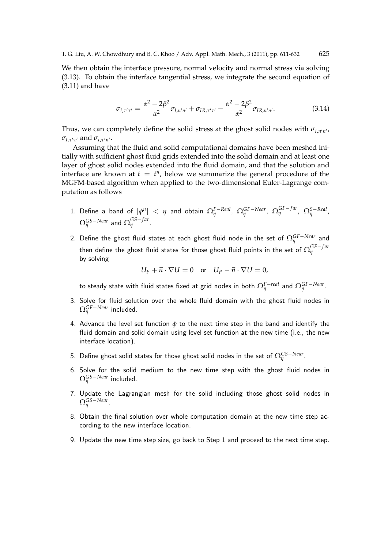We then obtain the interface pressure, normal velocity and normal stress via solving (3.13). To obtain the interface tangential stress, we integrate the second equation of (3.11) and have

$$
\sigma_{I,\tau'\tau'} = \frac{\alpha^2 - 2\beta^2}{\alpha^2} \sigma_{I,n'n'} + \sigma_{IR,\tau'\tau'} - \frac{\alpha^2 - 2\beta^2}{\alpha^2} \sigma_{IR,n'n'}.
$$
\n(3.14)

Thus, we can completely define the solid stress at the ghost solid nodes with  $\sigma_{I,n'n'}$ ,  $\sigma_{I,\tau'\tau'}$  and  $\sigma_{I,\tau'n'}$ .

Assuming that the fluid and solid computational domains have been meshed initially with sufficient ghost fluid grids extended into the solid domain and at least one layer of ghost solid nodes extended into the fluid domain, and that the solution and interface are known at  $t = t^n$ , below we summarize the general procedure of the MGFM-based algorithm when applied to the two-dimensional Euler-Lagrange computation as follows

- 1. Define a band of  $|\phi^n| < \eta$  and obtain  $\Omega_\eta^{F-Real}$ ,  $\Omega_\eta^{GF-Near}$ ,  $\Omega_\eta^{GF-far}$ ,  $\Omega_\eta^{S-Real}$ ,  $\Omega_\eta^{GS-Near}$  and  $\Omega_\eta^{GS-far}$ .
- 2. Define the ghost fluid states at each ghost fluid node in the set of Ω*GF−Near η* and then define the ghost fluid states for those ghost fluid points in the set of  $\Omega^{\text{GF}-\textit{far}}_{\eta}$ by solving

$$
U_{t'} + \vec{n} \cdot \nabla U = 0 \quad \text{or} \quad U_{t'} - \vec{n} \cdot \nabla U = 0,
$$

to steady state with fluid states fixed at grid nodes in both Ω*F−real η* and Ω*GF−Near η* .

- 3. Solve for fluid solution over the whole fluid domain with the ghost fluid nodes in Ω*GF−Near η* included.
- 4. Advance the level set function  $\phi$  to the next time step in the band and identify the fluid domain and solid domain using level set function at the new time (i.e., the new interface location).
- 5. Define ghost solid states for those ghost solid nodes in the set of Ω*GS−Near η* .
- 6. Solve for the solid medium to the new time step with the ghost fluid nodes in Ω*GS−Near η* included.
- 7. Update the Lagrangian mesh for the solid including those ghost solid nodes in  $Ω<sub>η</sub><sup>GS-Near</sup>$ .
- 8. Obtain the final solution over whole computation domain at the new time step according to the new interface location.
- 9. Update the new time step size, go back to Step 1 and proceed to the next time step.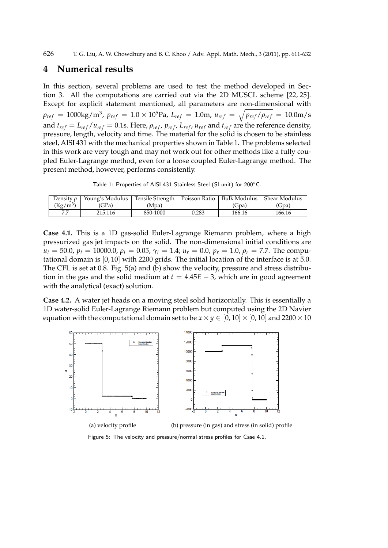### **4 Numerical results**

In this section, several problems are used to test the method developed in Section 3. All the computations are carried out via the 2D MUSCL scheme [22, 25]. Except for explicit statement mentioned, all parameters are non-dimensional with  $\rho_{ref}$  = 1000kg/m<sup>3</sup>,  $p_{ref}$  = 1.0 × 10<sup>5</sup>Pa,  $L_{ref}$  = 1.0m,  $u_{ref}$  =  $\sqrt{p_{ref}/\rho_{ref}}$  = 10.0m/s and  $t_{ref} = L_{ref} / u_{ref} = 0.1$ s. Here,  $\rho_{ref}$ ,  $p_{ref}$ ,  $L_{ref}$ ,  $u_{ref}$  and  $t_{ref}$  are the reference density, pressure, length, velocity and time. The material for the solid is chosen to be stainless steel, AISI 431 with the mechanical properties shown in Table 1. The problems selected in this work are very tough and may not work out for other methods like a fully coupled Euler-Lagrange method, even for a loose coupled Euler-Lagrange method. The present method, however, performs consistently.

Table 1: Properties of AISI 431 Stainless Steel (SI unit) for 200*◦*C.

| Density $\rho$ | Young's Modulus | Tensile Strength   Poisson Ratio   Bulk Modulus   Shear Modulus |       |        |        |
|----------------|-----------------|-----------------------------------------------------------------|-------|--------|--------|
| $(Kg/m^3)$     | 'GPa)           | 'Mpa)                                                           |       | (Gpa)  | (Gpa)  |
| <b>. .</b>     | 215.116         | 850-1000                                                        | 0.283 | 166.16 | 166.16 |

**Case 4.1.** This is a 1D gas-solid Euler-Lagrange Riemann problem, where a high pressurized gas jet impacts on the solid. The non-dimensional initial conditions are  $u_l = 50.0$ ,  $p_l = 10000.0$ ,  $\rho_l = 0.05$ ,  $\gamma_l = 1.4$ ;  $u_r = 0.0$ ,  $p_r = 1.0$ ,  $\rho_r = 7.7$ . The computational domain is [0, 10] with 2200 grids. The initial location of the interface is at 5.0. The CFL is set at 0.8. Fig. 5(a) and (b) show the velocity, pressure and stress distribution in the gas and the solid medium at  $t = 4.45E - 3$ , which are in good agreement with the analytical (exact) solution.

**Case 4.2.** A water jet heads on a moving steel solid horizontally. This is essentially a 1D water-solid Euler-Lagrange Riemann problem but computed using the 2D Navier equation with the computational domain set to be  $x \times y \in [0, 10] \times [0, 10]$  and 2200  $\times$  10



Figure 5: The velocity and pressure/normal stress profiles for Case 4.1.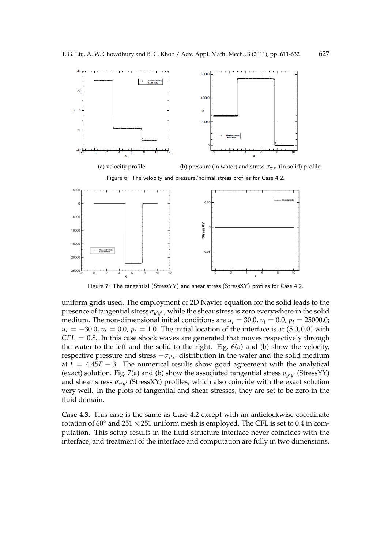

(a) velocity profile (b) pressure (in water) and stress-*σ<sup>x</sup> ′x ′* (in solid) profile





Figure 7: The tangential (StressYY) and shear stress (StressXY) profiles for Case 4.2.

uniform grids used. The employment of 2D Navier equation for the solid leads to the presence of tangential stress *σ<sup>y</sup> ′y ′* , while the shear stress is zero everywhere in the solid medium. The non-dimensional initial conditions are  $u_l = 30.0$ ,  $v_l = 0.0$ ,  $p_l = 25000.0$ ;  $u_r = -30.0$ ,  $v_r = 0.0$ ,  $p_r = 1.0$ . The initial location of the interface is at (5.0, 0.0) with  $CFL = 0.8$ . In this case shock waves are generated that moves respectively through the water to the left and the solid to the right. Fig. 6(a) and (b) show the velocity, respective pressure and stress *−σ<sup>x</sup> ′x ′* distribution in the water and the solid medium at *t* = 4.45*E −* 3. The numerical results show good agreement with the analytical (exact) solution. Fig. 7(a) and (b) show the associated tangential stress *σ<sup>y</sup> ′y ′* (StressYY) and shear stress *σ<sup>x</sup> ′y ′* (StressXY) profiles, which also coincide with the exact solution very well. In the plots of tangential and shear stresses, they are set to be zero in the fluid domain.

**Case 4.3.** This case is the same as Case 4.2 except with an anticlockwise coordinate rotation of 60*◦* and 251 *×* 251 uniform mesh is employed. The CFL is set to 0.4 in computation. This setup results in the fluid-structure interface never coincides with the interface, and treatment of the interface and computation are fully in two dimensions.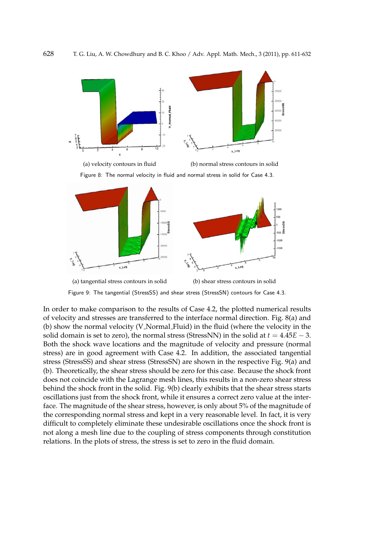

(a) velocity contours in fluid (b) normal stress contours in solid

Figure 8: The normal velocity in fluid and normal stress in solid for Case 4.3.



Figure 9: The tangential (StressSS) and shear stress (StressSN) contours for Case 4.3.

In order to make comparison to the results of Case 4.2, the plotted numerical results of velocity and stresses are transferred to the interface normal direction. Fig. 8(a) and (b) show the normal velocity (V Normal Fluid) in the fluid (where the velocity in the solid domain is set to zero), the normal stress (StressNN) in the solid at  $t = 4.45E - 3$ . Both the shock wave locations and the magnitude of velocity and pressure (normal stress) are in good agreement with Case 4.2. In addition, the associated tangential stress (StressSS) and shear stress (StressSN) are shown in the respective Fig. 9(a) and (b). Theoretically, the shear stress should be zero for this case. Because the shock front does not coincide with the Lagrange mesh lines, this results in a non-zero shear stress behind the shock front in the solid. Fig. 9(b) clearly exhibits that the shear stress starts oscillations just from the shock front, while it ensures a correct zero value at the interface. The magnitude of the shear stress, however, is only about 5% of the magnitude of the corresponding normal stress and kept in a very reasonable level. In fact, it is very difficult to completely eliminate these undesirable oscillations once the shock front is not along a mesh line due to the coupling of stress components through constitution relations. In the plots of stress, the stress is set to zero in the fluid domain.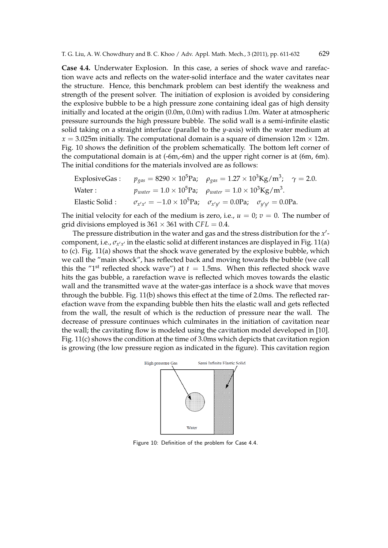**Case 4.4.** Underwater Explosion. In this case, a series of shock wave and rarefaction wave acts and reflects on the water-solid interface and the water cavitates near the structure. Hence, this benchmark problem can best identify the weakness and strength of the present solver. The initiation of explosion is avoided by considering the explosive bubble to be a high pressure zone containing ideal gas of high density initially and located at the origin (0.0m, 0.0m) with radius 1.0m. Water at atmospheric pressure surrounds the high pressure bubble. The solid wall is a semi-infinite elastic solid taking on a straight interface (parallel to the *y*-axis) with the water medium at  $x = 3.025$ m initially. The computational domain is a square of dimension  $12m \times 12m$ . Fig. 10 shows the definition of the problem schematically. The bottom left corner of the computational domain is at (-6m,-6m) and the upper right corner is at (6m, 6m). The initial conditions for the materials involved are as follows:

|                 | ExplosiveGas : $p_{gas} = 8290 \times 10^5 \text{Pa}$ ; $\rho_{gas} = 1.27 \times 10^3 \text{Kg/m}^3$ ; $\gamma = 2.0$ . |
|-----------------|--------------------------------------------------------------------------------------------------------------------------|
| Water:          | $p_{water} = 1.0 \times 10^5 \text{Pa}$ ; $\rho_{water} = 1.0 \times 10^3 \text{Kg/m}^3$ .                               |
| Elastic Solid : | $\sigma_{x'x'} = -1.0 \times 10^5$ Pa; $\sigma_{x'y'} = 0.0$ Pa; $\sigma_{y'y'} = 0.0$ Pa.                               |

The initial velocity for each of the medium is zero, i.e.,  $u = 0$ ;  $v = 0$ . The number of grid divisions employed is  $361 \times 361$  with  $CFL = 0.4$ .

The pressure distribution in the water and gas and the stress distribution for the *x ′* component, i.e., *σ<sup>x</sup> ′x ′* in the elastic solid at different instances are displayed in Fig. 11(a) to (c). Fig. 11(a) shows that the shock wave generated by the explosive bubble, which we call the "main shock", has reflected back and moving towards the bubble (we call this the "1<sup>st</sup> reflected shock wave") at  $t = 1.5$ ms. When this reflected shock wave hits the gas bubble, a rarefaction wave is reflected which moves towards the elastic wall and the transmitted wave at the water-gas interface is a shock wave that moves through the bubble. Fig. 11(b) shows this effect at the time of 2.0ms. The reflected rarefaction wave from the expanding bubble then hits the elastic wall and gets reflected from the wall, the result of which is the reduction of pressure near the wall. The decrease of pressure continues which culminates in the initiation of cavitation near the wall; the cavitating flow is modeled using the cavitation model developed in [10]. Fig. 11(c) shows the condition at the time of 3.0ms which depicts that cavitation region is growing (the low pressure region as indicated in the figure). This cavitation region



Figure 10: Definition of the problem for Case 4.4.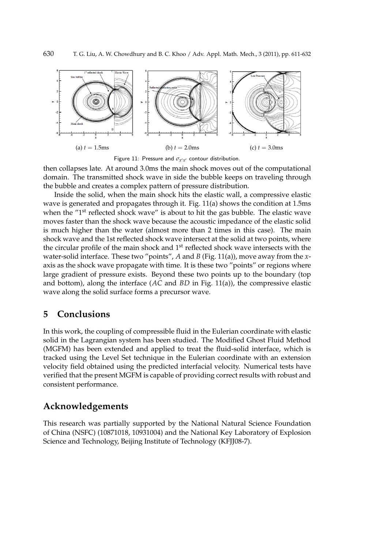

Figure 11: Pressure and *σ<sup>x</sup> ′x ′* contour distribution.

then collapses late. At around 3.0ms the main shock moves out of the computational domain. The transmitted shock wave in side the bubble keeps on traveling through the bubble and creates a complex pattern of pressure distribution.

Inside the solid, when the main shock hits the elastic wall, a compressive elastic wave is generated and propagates through it. Fig. 11(a) shows the condition at 1.5ms when the "1<sup>st</sup> reflected shock wave" is about to hit the gas bubble. The elastic wave moves faster than the shock wave because the acoustic impedance of the elastic solid is much higher than the water (almost more than 2 times in this case). The main shock wave and the 1st reflected shock wave intersect at the solid at two points, where the circular profile of the main shock and 1<sup>st</sup> reflected shock wave intersects with the water-solid interface. These two "points", *A* and *B* (Fig. 11(a)), move away from the *x*axis as the shock wave propagate with time. It is these two "points" or regions where large gradient of pressure exists. Beyond these two points up to the boundary (top and bottom), along the interface (*AC* and *BD* in Fig. 11(a)), the compressive elastic wave along the solid surface forms a precursor wave.

## **5 Conclusions**

In this work, the coupling of compressible fluid in the Eulerian coordinate with elastic solid in the Lagrangian system has been studied. The Modified Ghost Fluid Method (MGFM) has been extended and applied to treat the fluid-solid interface, which is tracked using the Level Set technique in the Eulerian coordinate with an extension velocity field obtained using the predicted interfacial velocity. Numerical tests have verified that the present MGFM is capable of providing correct results with robust and consistent performance.

# **Acknowledgements**

This research was partially supported by the National Natural Science Foundation of China (NSFC) (10871018, 10931004) and the National Key Laboratory of Explosion Science and Technology, Beijing Institute of Technology (KFJJ08-7).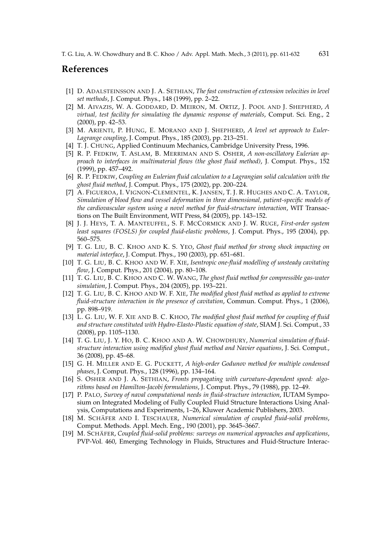### **References**

- [1] D. ADALSTEINSSON AND J. A. SETHIAN, *The fast construction of extension velocities in level set methods*, J. Comput. Phys., 148 (1999), pp. 2–22.
- [2] M. AIVAZIS, W. A. GODDARD, D. MEIRON, M. ORTIZ, J. POOL AND J. SHEPHERD, *A virtual, test facility for simulating the dynamic response of materials*, Comput. Sci. Eng., 2 (2000), pp. 42–53.
- [3] M. ARIENTI, P. HUNG, E. MORANO AND J. SHEPHERD, *A level set approach to Euler-Lagrange coupling*, J. Comput. Phys., 185 (2003), pp. 213–251.
- [4] T. J. CHUNG, Applied Continuum Mechanics, Cambridge University Press, 1996.
- [5] R. P. FEDKIW, T. ASLAM, B. MERRIMAN AND S. OSHER, *A non-oscillatory Eulerian approach to interfaces in multimaterial flows (the ghost fluid method)*, J. Comput. Phys., 152 (1999), pp. 457–492.
- [6] R. P. FEDKIW, *Coupling an Eulerian fluid calculation to a Lagrangian solid calculation with the ghost fluid method*, J. Comput. Phys., 175 (2002), pp. 200–224.
- [7] A. FIGUEROA, I. VIGNON-CLEMENTEL, K. JANSEN, T. J. R. HUGHES AND C. A. TAYLOR, *Simulation of blood flow and vessel deformation in three dimensional, patient-specific models of the cardiovascular system using a novel method for fluid-structure interaction*, WIT Transactions on The Built Environment, WIT Press, 84 (2005), pp. 143–152.
- [8] J. J. HEYS, T. A. MANTEUFFEL, S. F. MCCORMICK AND J. W. RUGE, *First-order system least squares (FOSLS) for coupled fluid-elastic problems*, J. Comput. Phys., 195 (2004), pp. 560–575.
- [9] T. G. LIU, B. C. KHOO AND K. S. YEO, *Ghost fluid method for strong shock impacting on material interface*, J. Comput. Phys., 190 (2003), pp. 651–681.
- [10] T. G. LIU, B. C. KHOO AND W. F. XIE, *Isentropic one-fluid modelling of unsteady cavitating flow*, J. Comput. Phys., 201 (2004), pp. 80–108.
- [11] T. G. LIU, B. C. KHOO AND C. W. WANG, *The ghost fluid method for compressible gas-water simulation*, J. Comput. Phys., 204 (2005), pp. 193–221.
- [12] T. G. LIU, B. C. KHOO AND W. F. XIE, *The modified ghost fluid method as applied to extreme fluid-structure interaction in the presence of cavitation*, Commun. Comput. Phys., 1 (2006), pp. 898–919.
- [13] L. G. LIU, W. F. XIE AND B. C. KHOO, *The modified ghost fluid method for coupling of fluid and structure constituted with Hydro-Elasto-Plastic equation of state*, SIAM J. Sci. Comput., 33 (2008), pp. 1105–1130.
- [14] T. G. LIU, J. Y. HO, B. C. KHOO AND A. W. CHOWDHURY, *Numerical simulation of fluidstructure interaction using modified ghost fluid method and Navier equations*, J. Sci. Comput., 36 (2008), pp. 45–68.
- [15] G. H. MILLER AND E. G. PUCKETT, *A high-order Godunov method for multiple condensed phases*, J. Comput. Phys., 128 (1996), pp. 134–164.
- [16] S. OSHER AND J. A. SETHIAN, *Fronts propagating with curvature-dependent speed: algorithms based on Hamilton-Jacobi formulations*, J. Comput. Phys., 79 (1988), pp. 12–49.
- [17] P. PALO, *Survey of naval computational needs in fluid-structure interaction*, IUTAM Symposium on Integrated Modeling of Fully Coupled Fluid Structure Interactions Using Analysis, Computations and Experiments, 1–26, Kluwer Academic Publishers, 2003.
- [18] M. SCHÄFER AND I. TESCHAUER, *Numerical simulation of coupled fluid-solid problems*, Comput. Methods. Appl. Mech. Eng., 190 (2001), pp. 3645–3667.
- [19] M. SCHÄFER, *Coupled fluid-solid problems: surveys on numerical approaches and applications*, PVP-Vol. 460, Emerging Technology in Fluids, Structures and Fluid-Structure Interac-